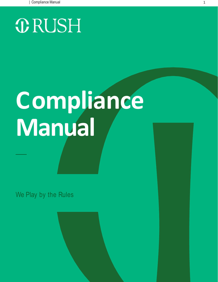# **ORUSH**

# **Compliance Manual**

We Play by the Rules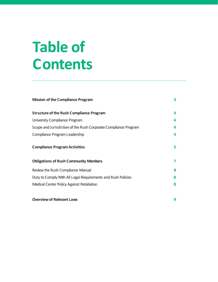# **Table of Contents**

| <b>Mission of the Compliance Program</b>                        | 3 |
|-----------------------------------------------------------------|---|
| <b>Structure of the Rush Compliance Program</b>                 | 4 |
| University Compliance Program                                   | 4 |
| Scope and Jurisdiction of the Rush Corporate Compliance Program | 4 |
| Compliance Program Leadership                                   | 4 |
| <b>Compliance Program Activities</b>                            | 5 |
| <b>Obligations of Rush Community Members</b>                    | 7 |
| Review the Rush Compliance Manual                               | 8 |
| Duty to Comply With All Legal Requirements and Rush Policies    | 8 |
| Medical Center Policy Against Retaliation                       | 8 |
|                                                                 |   |
| <b>Overview of Relevant Laws</b>                                | 9 |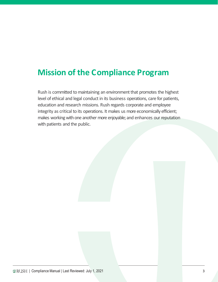## **Mission of the Compliance Program**

Rush is committed to maintaining an environment that promotes the highest level of ethical and legal conduct in its business operations, care for patients, education and research missions. Rush regards corporate and employee integrity as critical to its operations. It makes us more economically efficient; makes working with one another more enjoyable; and enhances our reputation with patients and the public.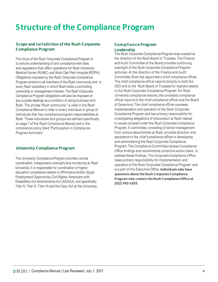# **Structure of the Compliance Program**

#### **Scope and Jurisdiction of the Rush Corporate Compliance Program**

The focus of the Rush Corporate Compliance Program is to ensure understanding of and compliance with laws and regulations that affect operations for Rush University Medical Center (RUMC) and Rush Oak Park Hospital (ROPH). Obligations imposed by the Rush Corporate Compliance Program extend to all members of the Rush community and in every Rush subsidiary in which Rush holds a controlling ownership or management interest.The Rush Corporate Compliance Program obligations will also be imposed on any outside dealings as a condition of doing business with Rush. The phrase "Rush community" is used in the Rush Compliance Manual to refer to every individual or group of individuals that has compliance program responsibilities at Rush. These individuals and groups are defined specifically on page 7 of the Rush Compliance Manual and in the compliance policy titled "Participation in Compliance Program Activities."

#### **University Compliance Program**

The University Compliance Program provides central coordination, independent oversight and monitoring at Rush University.It is responsible for coordination of higher education compliance related to Affirmative Action, Equal Employment Opportunity,Civil Rights, Americans with Disabilities Act Amendments Act (ADAAA) and specifically: Title IV, Title VI, Title VII and the Clery Act at the University.

#### **Compliance Program Leadership**

The Rush Corporate Compliance Program was created at the direction of the Rush Board of Trustees. The Finance and Audit Committee of the Board provides continuing oversight of the Rush Corporate Compliance Program activities. At the direction of the Finance and Audit Committee, Rush has appointed a chief compliance officer. The chief compliance officer reports directly to both the CEO and to the Rush Board of Trustees for matters related to the Rush Corporate Compliance Program. For Rush University compliance matters, the university compliance officer reports to the chief compliance officer and the Board of Governors. The chief compliance officer oversees implementation and operation of the Rush Corporate Compliance Program and has primary responsibility for investigating allegations of misconduct at Rush related to issues covered under the Rush Corporate Compliance Program. A committee, consisting of senior management from various departments at Rush, provides direction and assistance to the chief compliance officer in developing and administering the Rush Corporate Compliance Program.The Compliance Committee reviews Compliance Office findings and recommends corrective action plans to address these findings. The Corporate Compliance Office takes primary responsibility for implementation and operation of the Rush Corporate Compliance Program and is a part of the Executive Office. **Individuals who have questions about the Rush Corporate Compliance Program may contact the Rush Compliance Office at (312) 942-5303**.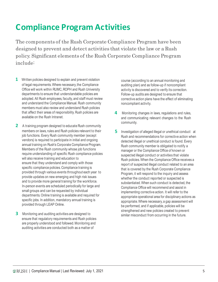# **Compliance Program Activities**

The components of the Rush Corporate Compliance Program have been designed to prevent and detect activities that violate the law or a Rush policy. Significant elements of the Rush Corporate Compliance Program include:

- **1** Written policies designed to explain and prevent violation of legal requirements. Where necessary, the Compliance Office will work within RUMC,ROPH and Rush University departments to ensure that understandable policies are adopted. All Rush employees, faculty,and staff must review and understand the Compliance Manual. Rush community members must also review and understand Rush policies that affect their areas of responsibility.Rush policies are available on the Rush Intranet.
- **2** A training program designed to educate Rush community members on laws, rules and Rush policies relevant to their job functions. Every Rush community member (except vendors) is required to participate in initial and ongoing annual training on Rush's Corporate Compliance Program. Members of the Rush community whose job functions require understanding of specific Rush compliance policies will also receive training and education to ensure that they understand and comply with those specific compliance policies. Compliance training is provided through various events throughout each year to provide updates on new emerging and high risk issues and to provide more general training for the workforce. In-person events are scheduled periodically for large and small groups and can be requested by individual departments.Online training is available and required for specific jobs. In addition, mandatory annual training is provided through LEAP Online.
- **3** Monitoring and auditing activities are designed to ensure that regulatory requirements and Rush policies are properly understood and followed.Monitoring and auditing activities are conducted both as a matter of

course (according to an annual monitoring and auditing plan) and as follow-up if noncompliant activity is discovered and to verify its correction. Follow-up audits are designed to ensure that corrective action plans have the effect of eliminating noncompliant activity.

- **4** Monitoring changes in laws, regulations and rules, and communicating relevant changes to the Rush community.
- **5** Investigation of alleged illegal or unethical conduct at Rush and recommendations for corrective action when detected illegal or unethical conduct is found. Every Rush community member is obligated to notify a manager or the Compliance Office of known or suspected illegal conduct or activities that violate Rush policies. When the Compliance Office receives a report of suspected illegal conduct related to an area that is covered by the Rush Corporate Compliance Program, it will respond to the inquiry and assess whether the conduct reported or suspected is substantiated. When such conduct is detected, the Compliance Office will recommend and assist in implementing corrective action. It will refer to the appropriate operational area for disciplinary actions as appropriate.Where necessary,a gap assessment will be performed, and if applicable, policies will be strengthened and new policies created to prevent similar misconduct from occurring in the future.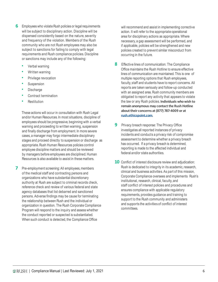- **6** Employees who violate Rush policies or legal requirements will be subject to disciplinary action. Discipline will be dispensed consistently based on the nature, severity and frequency of the violation. Members of the Rush community who are not Rush employees may also be subject to sanctions for failing to comply with legal requirements and Rush compliance policies. Discipline or sanctions may include any of the following:
	- Verbal warning
	- Written warning
	- Privilege revocation
	- Suspension
	- **Discharge**
	- Contract termination
	- **Restitution**

These actions will occur in consultation with Rush Legal and/or Human Resources. In most situations, discipline of employees should be progressive, beginning with a verbal warning and proceeding to written warning, suspension and finally discharge from employment. In more severe cases, a manager may forgo intermediate disciplinary stages and proceed directly to suspension or discharge as appropriate. Rush Human Resources policies control employee discipline matters and should be reviewed by managers before employees are disciplined. Human Resources is also available to assist in thesematters.

**7** Pre-employment screening: All employees, members of the medical staff and contracting persons and organizations who have substantial discretionary authority at Rush are subject to criminal records check, reference check and review of various federal and state agency databases that list debarred and sanctioned persons. Adverse findings may be cause for terminating the relationship between Rush and the individual or organization in question. The Rush Corporate Compliance Program will respond to the inquiry and assess whether the conduct reported or suspected is substantiated. When such conduct is detected, the Compliance Office

will recommend and assist in implementing corrective action. It will refer to the appropriate operational area for disciplinary actions as appropriate. Where necessary,a gap assessment will be performed, and if applicable, policies will be strengthened and new policies created to prevent similar misconduct from occurring in the future.

- **8** Effective lines of communication: The Compliance Office maintains the Rush Hotline to ensure effective lines of communication are maintained. This is one of multiple reporting options that Rush employees, faculty, staff and students have to report concerns. All reports are taken seriously and follow-up conducted with an assigned area. Rush community members are obligated to report any activity that appears to violate the law or any Rush policies. **Individuals whowish to remain anonymous may contact the Rush Hotline abouttheir concerns at (877) 787-4009 or at rush.ethicspoint.com**.
- **9** Privacy breach response: The Privacy Office investigates all reported instances of privacy incidents and conducts a privacy risk of compromise assessment to determine whether a privacy breach has occurred. If a privacy breach is determined, reporting is made to the affected individual and federal and/or state authorities.
- **10** Conflict of interest disclosure review and adjudication: Rush is dedicated to integrity in its academic, research, clinical and business activities.As part of this mission, Corporate Compliance oversees and implements Rush's institutional, research, clinical, faculty, and staff conflict of interest policies and procedures and ensures compliance with applicable regulatory requirements, provides guidance and training to support to the Rush community and administers and supports the activities of conflict of interest committees.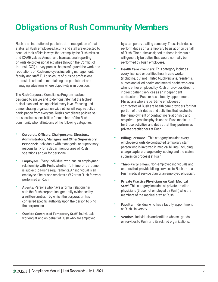# **Obligations of Rush Community Members**

Rush is an institution of public trust. In recognition of that status, all Rush employees, faculty and staff are expected to conduct their affairs in ways that exemplify the Rush mission and ICARE values. Annual and transactional reporting on outside professional activities through the Conflict of Interest (COI) survey process helps safeguard the work and reputations of Rush employees including management, faculty and staff.Full disclosure of outside professional interests is critical to maintaining the public trust and managing situations where objectivity is in question.

The Rush Corporate Compliance Program has been designed to ensure and to demonstrate that the highest ethical standards are upheld at every level. Ensuring and demonstrating organization-wide ethics will require active participation from everyone. Rush's compliance policies set out specific responsibilities for members of the Rush community who fall into any of the following categories:

- **Corporate Officers, Chairpersons,Directors, Administrators,Managers and Other Supervisory Personnel:** Individuals with managerial or supervisory responsibility for a department or area of Rush operations and/or for personnel.
- **Employees:** Every individual who has an employment relationship with Rush, whether full-time or part-time, is subject to Rush's requirements.An individual is an employee if he or she receives a W-2 from Rush for work performed at Rush.
- **Agents:** Persons who have a formal relationship with the Rush corporation, generally evidenced by a written contract, by which the corporation has conferred specific authority upon the person to bind the corporation.
- **Outside Contracted Temporary Staff:** Individuals working at and on behalf of Rush who are employed

by a temporary staffing company.These individuals perform duties on a temporary basis at or on behalf of Rush. The duties assigned to these individuals will generally be duties that would normally be performed by Rush employees.

- **Health Care Providers:** This category includes every licensed or certified health care worker (including, but not limited to, physicians, residents, nurses and allied health and mental health workers) who is either employed by Rush or provides direct or indirect patient services as an independent contractor of Rush or has a faculty appointment. Physicians who are part-time employees or contractors of Rush are health care providers for that portion of their duties and activities that relates to their employment or contracting relationship and are private practice physicians on Rush medical staff for those activities and duties that they perform as private practitioners at Rush.
- **Billing Personnel:** This category includes every employee or outside contracted temporary staff person who is involved in medical billing (including charge capture, charge entry, coding and the claims submission process) at Rush.
- **Third-Party Billers:** Non-employed individuals and entities that provide billing services to Rush or to a Rush medical service plan or an employed physician.
- **Private Practice Physicians on Rush Medical Staff:** This category includes all private practice physicians (those not employed by Rush) who are members of the medical staff at Rush.
- **Faculty:** Individual who has a faculty appointment at Rush University.
- **Vendors:** Individuals and entities who sell goods or services to Rush and its related organizations.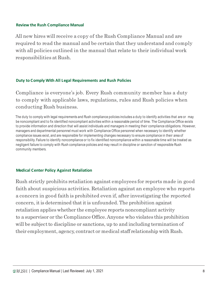#### **Review the Rush Compliance Manual**

All new hires will receive a copy of the Rush Compliance Manual and are required to read the manual and be certain that they understand and comply with all policies outlined in the manual that relate to their individual work responsibilities at Rush.

#### **Duty to Comply With All Legal Requirements and Rush Policies**

Compliance is everyone's job. Every Rush community member has a duty to comply with applicable laws, regulations, rules and Rush policies when conducting Rush business.

The duty to comply with legal requirements and Rush compliance policies includes a duty to identify activities that are or may be noncompliant and to fix identified noncompliant activities within a reasonable period of time. The Compliance Office exists to provide information and direction that will assist individuals and managers in meeting their compliance obligations. However, managers and departmental personnel must work with Compliance Office personnel when necessary to identify whether compliance issues exist, and are responsible for implementing changes necessary to ensure compliance in their area of responsibility.Failure to identify noncompliance or to fix identified noncompliance within a reasonable time will be treated as negligent failure to comply with Rush compliance policies and may result in discipline or sanction of responsible Rush community members.

#### **Medical Center Policy Against Retaliation**

Rush strictly prohibits retaliation against employees for reports made in good faith about suspicious activities. Retaliation against an employee who reports a concern in good faith is prohibited even if, after investigating the reported concern, itis determined thatitis unfounded. The prohibition against retaliation applieswhether the employee reports noncompliant activity to a supervisor or the Compliance Office.Anyone who violates this prohibition will be subject to discipline or sanctions, up to and including termination of their employment, agency, contract or medical staff relationship with Rush.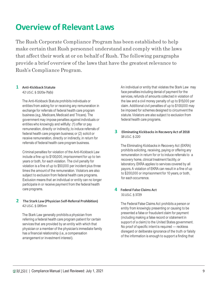## **Overview of Relevant Laws**

The Rush Corporate Compliance Program has been established to help make certain that Rush personnel understand and comply with the laws that affect their work at or on behalf of Rush. The following paragraphs provide a brief overview of the laws that have the greatest relevance to Rush's Compliance Program.

#### **1 Anti-Kickback Statute**

42U.S.C.§ 1320a-7b(b)

The Anti-Kickback Statute prohibits individuals or entities from asking for or receiving any remuneration in exchange for referrals of federal health care program business (e.g., Medicare, Medicaid and Tricare). The government may impose penalties against individuals or entities who knowingly and willfully: (1) offer or pay remuneration, directly or indirectly,to induce referrals of federal health care program business; or (2) solicit or receive remuneration, directly or indirectly, in return for referrals of federal health care program business.

Criminal penalties for violation of the Anti-Kickback Law include a fine up to \$100,000, imprisonment for up to ten years or both, for each violation. The civil penalty for violation is a fine of up to \$50,000 per incident plus three times the amount of the remuneration. Violators are also subject to exclusion from federal health care programs. Exclusion means that an individual or entity can no longer participate in or receive payment from the federal health care programs.

#### **2 The Stark Law(Physician Self-Referral Prohibition)** 42U.S.C.§ 1395nn

The Stark Law generally prohibits a physician from referring a federal health care program patient for certain services that are provided by an entity with which that physician or a member of the physician's immediate family has a financial relationship (i.e., a compensation arrangement or investment interest).

An individual or entity that violates the Stark Law may face penalties including denial of payment for the services, refunds of amounts collected in violation of the law and a civil money penalty of up to \$15,000 per claim. Additional civil penalties of up to \$100,000 may be imposed for schemes designed to circumvent the statute. Violators are also subject to exclusion from federal health care programs.

#### **3 Eliminating Kickbacksin RecoveryAct of 2018** 18 U.S.C. § 220

The Eliminating Kickbacks in Recovery Act (EKRA) prohibits soliciting, receiving, paying or offering any remuneration in return for or to induce referrals to a recovery home, clinical treatment facility,or laboratory.EKRA applies to services covered by all payors. A violation of EKRA can result in a fine of up to \$200,000 or imprisonment for 10 years, or both, for each occurrence.

#### **4 Federal False Claims Act** 31U.S.C. § 3729

The Federal False Claims Act prohibits a person or entity from knowingly presenting or causing to be presented a false or fraudulent claim for payment (including making a false record or statement in support of a claim) to the United States government. No proof of specific intent is required — reckless disregard or deliberate ignorance of the truth or falsity of the information is enough to support a finding that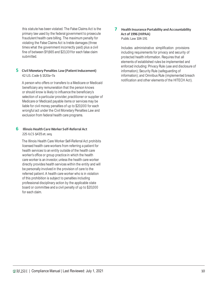this statute has been violated. The False Claims Act is the primary law used by the federal government to prosecute fraudulent health care billing. The maximum penalty for violating the False Claims Act is treble damages (three times what the government incorrectly paid) plus a civil fine of between \$11,665 and \$23,331for each false claim submitted.

#### **5** Civil Monetary Penalties Law (Patient Inducement) 42U.S.Code § 1320a–7a

A person who offers or transfers to a Medicare or Medicaid beneficiary any remuneration that the person knows or should know is likely to influence the beneficiary's selection of a particular provider, practitioner or supplier of Medicare or Medicaid payable items or services may be liable for civil money penalties of up to \$20,000 for each wrongful act under the Civil Monetary Penalties Law and exclusion from federal health care programs.

#### **6 Illinois HealthCareWorker Self-Referral Act** 225 ILCS §47/1et.seq.

The Illinois Health Care Worker Self-Referral Act prohibits licensed health care workers from referring a patient for health services to an entity outside of the health care worker's office or group practice in which the health care worker is an investor,unless the health care worker directly provides health services within the entity and will be personally involved in the provision of care to the referred patient.A health care worker who is in violation of this prohibition is subject to penalties including professional disciplinary action by the applicable state board or committee and a civil penalty of up to \$20,000 for each claim.

#### **7** Health Insurance Portability and Accountability **Act of 1996 (HIPAA)** Public Law 104-191

Includes administrative simplification provisions including requirements for privacy and security of protected health information. Requires that all elements of established rules be implemented and enforced including: Privacy Rule (use and disclosure of information); Security Rule (safeguarding of information); and Omnibus Rule (implemented breach notification and other elements of the HITECH Act).